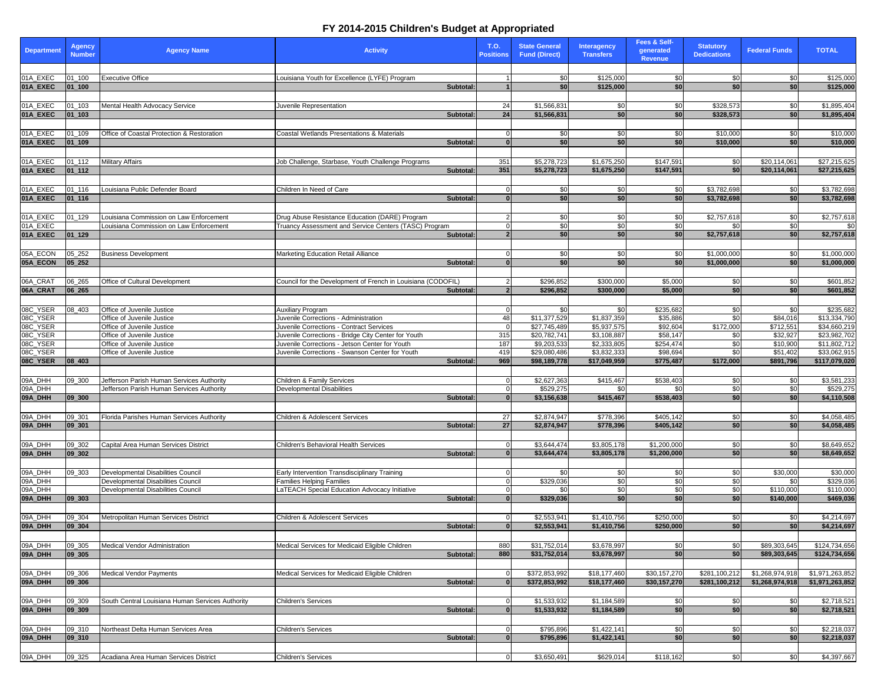| <b>Department</b>    | <b>Agency</b><br><b>Number</b> | <b>Agency Name</b>                               | <b>Activity</b>                                              | <b>T.O.</b><br><b>Positions</b> | <b>State General</b><br><b>Fund (Direct)</b> | <b>Interagency</b><br><b>Transfers</b> | Fees & Self-<br>generated<br><b>Revenue</b> | <b>Statutory</b><br><b>Dedications</b> | <b>Federal Funds</b>  | <b>TOTAL</b>                  |
|----------------------|--------------------------------|--------------------------------------------------|--------------------------------------------------------------|---------------------------------|----------------------------------------------|----------------------------------------|---------------------------------------------|----------------------------------------|-----------------------|-------------------------------|
|                      |                                |                                                  |                                                              |                                 |                                              |                                        |                                             |                                        |                       |                               |
| 01A_EXEC             | $01 - 100$                     | <b>Executive Office</b>                          | Louisiana Youth for Excellence (LYFE) Program                |                                 | \$0                                          | \$125,000                              | \$0                                         | \$0                                    | \$0                   | \$125,000                     |
| 01A EXEC             | $ 01 $ 100                     |                                                  | Subtotal:                                                    |                                 | \$0                                          | \$125,000                              | \$0 <sub>1</sub>                            | \$0                                    | \$0                   | \$125,000                     |
| 01A_EXEC             | $01 - 103$                     | Mental Health Advocacy Service                   | Juvenile Representation                                      | 24                              | \$1,566,831                                  | \$0                                    | \$0                                         | \$328,573                              | \$0                   | \$1,895,404                   |
| 01A_EXEC             | $ 01$ 103                      |                                                  | Subtotal:                                                    | 24                              | \$1,566,831                                  | \$0                                    | \$0                                         | \$328,573                              | \$0                   | \$1,895,404                   |
|                      |                                |                                                  |                                                              |                                 |                                              |                                        |                                             |                                        |                       |                               |
| 01A_EXEC             | 01_109                         | Office of Coastal Protection & Restoration       | Coastal Wetlands Presentations & Materials                   |                                 | \$0                                          | \$0                                    | \$0                                         | \$10,000                               | \$0                   | \$10,000                      |
| 01A_EXEC             | $ 01$ 109                      |                                                  | Subtotal:                                                    |                                 | \$0                                          | \$0                                    | \$0                                         | \$10,000                               | \$0                   | \$10,000                      |
|                      |                                |                                                  |                                                              |                                 |                                              |                                        |                                             |                                        |                       |                               |
| 01A_EXEC             | $01 - 112$                     | <b>Military Affairs</b>                          | Job Challenge, Starbase, Youth Challenge Programs            | 351                             | \$5,278,723                                  | \$1,675,250                            | \$147,591                                   | \$0                                    | \$20,114,061          | \$27,215,625                  |
| 01A_EXEC             | $ 01_112 $                     |                                                  | Subtotal:                                                    | 351                             | \$5,278,723                                  | \$1,675,250                            | \$147,591                                   | \$0                                    | \$20,114,061          | \$27,215,625                  |
|                      |                                |                                                  |                                                              |                                 |                                              |                                        |                                             |                                        |                       |                               |
| 01A EXEC<br>01A_EXEC | 01_116<br>$ 01_116$            | Louisiana Public Defender Board                  | Children In Need of Care<br>Subtotal:                        |                                 | \$0<br>\$0                                   | \$0<br>\$0                             | \$0<br>\$0 <sub>l</sub>                     | \$3,782,698<br>\$3,782,698             | \$0<br>\$0            | \$3,782,698<br>\$3,782,698    |
|                      |                                |                                                  |                                                              |                                 |                                              |                                        |                                             |                                        |                       |                               |
| 01A_EXEC             | $01 - 129$                     | Louisiana Commission on Law Enforcement          | Drug Abuse Resistance Education (DARE) Program               |                                 | \$0                                          | \$0                                    | \$0                                         | \$2,757,618                            | \$0                   | \$2,757,618                   |
| 01A EXEC             |                                | Louisiana Commission on Law Enforcement          | Truancy Assessment and Service Centers (TASC) Program        |                                 | \$0                                          | \$0                                    | \$0                                         | .ፍስ                                    | \$0                   | \$0                           |
| 01A EXEC             | $ 01$ 129                      |                                                  | Subtotal:                                                    |                                 | \$0                                          | \$0                                    | \$0 <sub>l</sub>                            | \$2,757,618                            | \$0                   | \$2,757,618                   |
|                      |                                |                                                  |                                                              |                                 |                                              |                                        |                                             |                                        |                       |                               |
| 05A_ECON             | 05_252                         | <b>Business Development</b>                      | Marketing Education Retail Alliance                          |                                 | \$0                                          | \$0                                    | \$0                                         | \$1,000,000                            | \$0                   | \$1,000,000                   |
| 05A_ECON             | $ 05 $ 252                     |                                                  | Subtotal:                                                    |                                 | \$0                                          | \$0                                    | \$0                                         | \$1,000,000                            | \$0                   | \$1,000,000                   |
|                      |                                |                                                  |                                                              |                                 |                                              |                                        |                                             |                                        |                       |                               |
| 06A_CRAT<br>06A_CRAT | 06_265<br> 06 265              | Office of Cultural Development                   | Council for the Development of French in Louisiana (CODOFIL) |                                 | \$296,852<br>\$296,852                       | \$300,000<br>\$300,000                 | \$5,000<br>\$5,000                          | \$0<br>\$0                             | \$0<br>\$0            | \$601,852<br>\$601,852        |
|                      |                                |                                                  | Subtotal:                                                    |                                 |                                              |                                        |                                             |                                        |                       |                               |
| 08C_YSER             | $08 - 403$                     | Office of Juvenile Justice                       | <b>Auxiliary Program</b>                                     | $\Omega$                        | \$0                                          | \$0                                    | \$235,682                                   | \$0                                    | \$0                   | \$235,682                     |
| 08C_YSER             |                                | Office of Juvenile Justice                       | Juvenile Corrections - Administration                        | 48                              | \$11,377,529                                 | \$1,837,359                            | \$35,886                                    | \$0                                    | \$84,016              | \$13,334,790                  |
| 08C_YSER             |                                | Office of Juvenile Justice                       | Juvenile Corrections - Contract Services                     | $\Omega$                        | \$27,745,489                                 | \$5,937,575                            | \$92,604                                    | \$172,000                              | \$712,551             | \$34,660,219                  |
| 08C_YSER             |                                | Office of Juvenile Justice                       | Juvenile Corrections - Bridge City Center for Youth          | 315                             | \$20,782,741                                 | \$3,108,887                            | \$58,147                                    | \$0                                    | \$32,927              | \$23,982,702                  |
| 08C_YSER             |                                | Office of Juvenile Justice                       | Juvenile Corrections - Jetson Center for Youth               | 187                             | \$9,203,533                                  | \$2,333,805                            | \$254,474                                   | \$0                                    | \$10,900              | \$11,802,712                  |
| 08C_YSER             |                                | Office of Juvenile Justice                       | Juvenile Corrections - Swanson Center for Youth<br>Subtotal: | 419<br>969                      | \$29,080,486<br>\$98,189,778                 | \$3,832,333<br>\$17,049,959            | \$98,694<br>\$775,487                       | \$0<br>\$172,000                       | \$51,402<br>\$891,796 | \$33,062,915<br>\$117,079,020 |
|                      |                                |                                                  |                                                              |                                 |                                              |                                        |                                             |                                        |                       |                               |
| 09A_DHH              | 09_300                         | Jefferson Parish Human Services Authority        | Children & Family Services                                   |                                 | \$2,627,363                                  | \$415,467                              | \$538,403                                   | \$0                                    | \$0                   | \$3,581,233                   |
| 09A_DHH              |                                | Jefferson Parish Human Services Authority        | Developmental Disabilities                                   |                                 | \$529,275                                    | \$0                                    |                                             | $\sqrt{6}$                             | \$0                   | \$529,275                     |
| 09A_DHH              | 09 300                         |                                                  | Subtotal:                                                    |                                 | \$3,156,638                                  | \$415,467                              | \$538,403                                   | \$0                                    | \$0                   | \$4,110,508                   |
|                      |                                |                                                  |                                                              |                                 |                                              |                                        |                                             |                                        |                       |                               |
| 09A_DHH              | 09_301                         | Florida Parishes Human Services Authority        | Children & Adolescent Services                               | 27                              | \$2,874,947                                  | \$778,396                              | \$405,142                                   | \$0                                    | \$0                   | \$4,058,485                   |
| 09A_DHH              | $ 09$ _301                     |                                                  | Subtotal:                                                    | 27                              | \$2,874,947                                  | \$778,396                              | \$405,142                                   | \$0                                    | \$0                   | \$4,058,485                   |
|                      |                                |                                                  |                                                              |                                 |                                              |                                        |                                             |                                        |                       |                               |
| 09A_DHH<br>09A_DHH   | 09_302<br> 09 302              | Capital Area Human Services District             | Children's Behavioral Health Services<br>Subtotal:           |                                 | \$3,644,474<br>\$3,644,474                   | \$3,805,178<br>\$3,805,178             | \$1,200,000<br>\$1,200,000                  | \$0<br>\$0                             | \$0<br>\$0            | \$8,649,652<br>\$8,649,652    |
|                      |                                |                                                  |                                                              |                                 |                                              |                                        |                                             |                                        |                       |                               |
| 09A_DHH              | 09_303                         | Developmental Disabilities Council               | Early Intervention Transdisciplinary Training                |                                 | \$0                                          | -\$0                                   | <b>\$01</b>                                 | \$0                                    | \$30,000              | \$30,000                      |
| 09A_DHH              |                                | Developmental Disabilities Council               | <b>Families Helping Families</b>                             |                                 | \$329,036                                    | \$0                                    | \$0                                         | \$0                                    | \$0                   | \$329,036                     |
| 09A_DHH              |                                | Developmental Disabilities Council               | LaTEACH Special Education Advocacy Initiative                |                                 | \$0                                          | \$0                                    | \$0                                         | $\overline{50}$                        | \$110,000             | \$110,000                     |
| 09A_DHH              | $ 09$ 303                      |                                                  | Subtotal:                                                    |                                 | \$329,036                                    | \$0 <sub>l</sub>                       | \$0                                         | \$0                                    | \$140,000             | \$469,036                     |
|                      |                                |                                                  |                                                              |                                 |                                              |                                        |                                             |                                        |                       |                               |
| 09A_DHH              | 09 304                         | Metropolitan Human Services District             | Children & Adolescent Services                               |                                 | \$2,553,941                                  | \$1,410,756                            | \$250,000                                   | \$0                                    | \$0                   | \$4,214,697                   |
| 09A_DHH              | 09 304                         |                                                  | Subtotal:                                                    |                                 | \$2,553,941                                  | \$1,410,756                            | \$250,000                                   | \$0                                    | \$0                   | \$4,214,697                   |
| 09A_DHH              | 09 305                         | <b>Medical Vendor Administration</b>             | Medical Services for Medicaid Eligible Children              | 880                             | \$31,752,014                                 | \$3,678,997                            | \$0                                         | \$0                                    | \$89,303,645          | \$124,734,656                 |
| 09A_DHH              | 09 305                         |                                                  | Subtotal:                                                    | 880                             | \$31,752,014                                 | \$3,678,997                            | \$0                                         | \$0                                    | \$89,303,645          | \$124,734,656                 |
|                      |                                |                                                  |                                                              |                                 |                                              |                                        |                                             |                                        |                       |                               |
| 09A_DHH              | 09_306                         | Medical Vendor Payments                          | Medical Services for Medicaid Eligible Children              |                                 | \$372,853,992                                | \$18,177,460                           | \$30,157,270                                | \$281,100,212                          | \$1,268,974,918       | \$1,971,263,852               |
| 09A_DHH              | 09 306                         |                                                  | Subtotal:                                                    |                                 | \$372,853,992                                | \$18,177,460                           | \$30,157,270                                | \$281,100,212                          | \$1,268,974,918       | \$1,971,263,852               |
|                      |                                |                                                  |                                                              |                                 |                                              |                                        |                                             |                                        |                       |                               |
| 09A_DHH              | 09_309                         | South Central Louisiana Human Services Authority | <b>Children's Services</b>                                   | $\Omega$                        | \$1,533,932                                  | \$1,184,589                            | \$0                                         | \$0                                    | \$0                   | \$2,718,521                   |
| 09A_DHH              | 09 309                         |                                                  | Subtotal:                                                    |                                 | \$1,533,932                                  | \$1,184,589                            | \$0 <sub>1</sub>                            | \$0                                    | \$0                   | \$2,718,521                   |
|                      |                                |                                                  |                                                              |                                 |                                              |                                        |                                             |                                        |                       |                               |
| 09A_DHH              | 09_310                         | Northeast Delta Human Services Area              | <b>Children's Services</b>                                   |                                 | \$795,896                                    | \$1,422,141                            | \$0                                         | \$0                                    | \$0                   | \$2,218,037                   |
| 09A_DHH              | 09 310                         |                                                  | Subtotal:                                                    |                                 | \$795,896                                    | \$1,422,141                            | \$0 <sub>1</sub>                            | \$0                                    | \$0                   | \$2,218,037                   |
| 09A_DHH              | 09 325                         | Acadiana Area Human Services District            | Children's Services                                          | $\Omega$                        | \$3,650,491                                  | \$629,014                              | \$118,162                                   | \$0                                    | \$0                   | \$4,397,667                   |
|                      |                                |                                                  |                                                              |                                 |                                              |                                        |                                             |                                        |                       |                               |

## **FY 2014-2015 Children's Budget at Appropriated**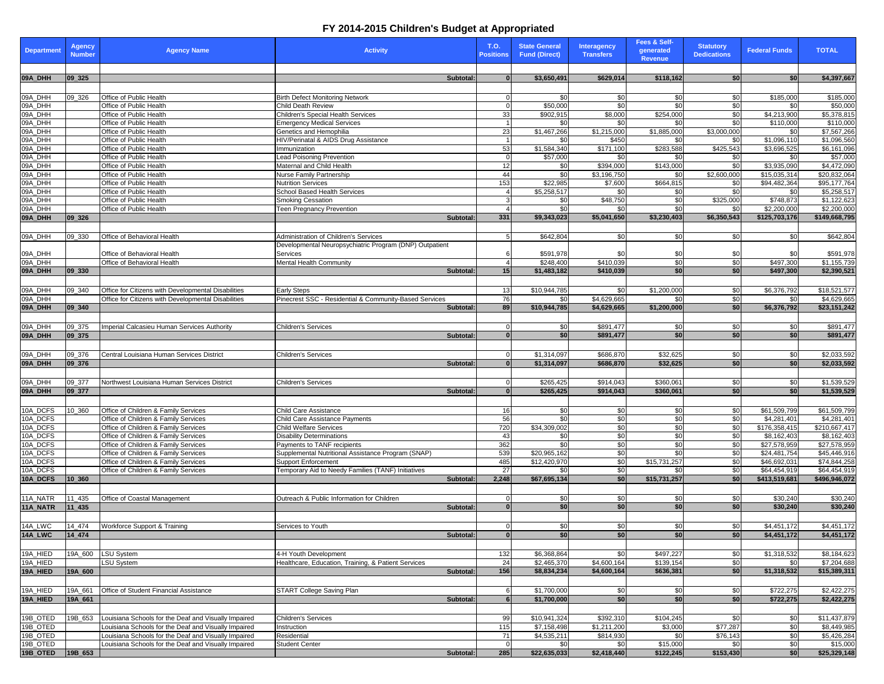## **FY 2014-2015 Children's Budget at Appropriated**

| <b>Department</b>    | <b>Agency</b><br><b>Number</b> | <b>Agency Name</b>                                                           | <b>Activity</b>                                                                  | <b>T.O.</b><br><b>Positions</b> | <b>State General</b><br><b>Fund (Direct)</b> | <b>Interagency</b><br><b>Transfers</b> | Fees & Self-<br>generated<br><b>Revenue</b> | <b>Statutory</b><br><b>Dedications</b> | <b>Federal Funds</b>         | <b>TOTAL</b>                 |
|----------------------|--------------------------------|------------------------------------------------------------------------------|----------------------------------------------------------------------------------|---------------------------------|----------------------------------------------|----------------------------------------|---------------------------------------------|----------------------------------------|------------------------------|------------------------------|
| 09A_DHH              | $ 09$ 325                      |                                                                              | Subtotal:                                                                        |                                 | \$3,650,491                                  | \$629,014                              | \$118,162                                   | \$0                                    | \$0                          | \$4,397,667                  |
| 09A_DHH              | 09_326                         | Office of Public Health                                                      | <b>Birth Defect Monitoring Network</b>                                           |                                 | \$0                                          | \$0                                    | \$0                                         | \$0                                    | \$185,000                    | \$185,000                    |
| 09A_DHH              |                                | Office of Public Health                                                      | <b>Child Death Review</b>                                                        |                                 | \$50,000                                     | $\overline{\mathbf{S}}$                | $\overline{30}$                             | $\overline{30}$                        | \$0                          | \$50,000                     |
| 09A_DHH              |                                | Office of Public Health                                                      | <b>Children's Special Health Services</b>                                        | 33                              | \$902,915                                    | \$8,000                                | \$254,000                                   | \$0                                    | \$4,213,900                  | \$5,378,815                  |
| 09A_DHH              |                                | Office of Public Health                                                      | <b>Emergency Medical Services</b>                                                |                                 | \$0                                          | \$0                                    | \$0                                         | \$0                                    | \$110,000                    | \$110,000                    |
| 09A_DHH<br>09A_DHH   |                                | Office of Public Health<br>Office of Public Health                           | Genetics and Hemophilia<br>HIV/Perinatal & AIDS Drug Assistance                  | 23                              | \$1,467,266                                  | \$1,215,000<br>\$450                   | \$1,885,000                                 | \$3,000,000                            | \$0<br>\$1,096,110           | \$7,567,266                  |
| 09A_DHH              |                                | Office of Public Health                                                      | Immunization                                                                     | 53                              | \$0<br>\$1,584,340                           | \$171,100                              | \$0<br>\$283,588                            | \$0<br>\$425,543                       | \$3,696,525                  | \$1,096,560<br>\$6,161,096   |
| 09A_DHH              |                                | Office of Public Health                                                      | <b>Lead Poisoning Prevention</b>                                                 |                                 | \$57,000                                     | \$0                                    | \$0                                         | \$0                                    | \$0                          | \$57,000                     |
| 09A_DHH              |                                | Office of Public Health                                                      | Maternal and Child Health                                                        | 12                              | \$0                                          | \$394,000                              | \$143,000                                   | \$0                                    | \$3,935,090                  | \$4,472,090                  |
| 09A_DHH              |                                | Office of Public Health                                                      | <b>Nurse Family Partnership</b>                                                  | 44                              | \$0                                          | \$3,196,750                            | \$0                                         | \$2,600,000                            | \$15,035,314                 | \$20,832,064                 |
| 09A_DHH              |                                | Office of Public Health                                                      | <b>Nutrition Services</b>                                                        | 153                             | \$22,985                                     | \$7,600                                | \$664,815                                   | \$0                                    | \$94,482,364                 | \$95,177,764                 |
| 09A_DHH              |                                | Office of Public Health                                                      | <b>School Based Health Services</b>                                              |                                 | \$5,258,517                                  | \$0                                    | \$0                                         | \$0                                    | \$0                          | \$5,258,517                  |
| 09A_DHH              |                                | Office of Public Health                                                      | Smoking Cessation                                                                |                                 | \$0                                          | \$48,750                               | \$0                                         | \$325,000                              | \$748,873                    | \$1,122,623                  |
| 09A_DHH<br>09A_DHH   | $ 09$ 326                      | Office of Public Health                                                      | <b>Teen Pregnancy Prevention</b><br>Subtotal:                                    | 331                             | $\overline{50}$<br>\$9,343,023               | \$0<br>\$5,041,650                     | $\overline{\$0}$<br>\$3,230,403             | \$0<br>\$6,350,543                     | \$2,200,000<br>\$125,703,176 | \$2,200,000                  |
|                      |                                |                                                                              |                                                                                  |                                 |                                              |                                        |                                             |                                        |                              | \$149,668,795                |
| 09A_DHH              | 09_330                         | Office of Behavioral Health                                                  | Administration of Children's Services                                            |                                 | \$642,804                                    | \$0                                    | \$0                                         | \$0                                    | \$0                          | \$642,804                    |
|                      |                                |                                                                              | Developmental Neuropsychiatric Program (DNP) Outpatient                          |                                 |                                              |                                        |                                             |                                        |                              |                              |
|                      |                                | Office of Behavioral Health                                                  | Services                                                                         |                                 | \$591,978                                    | \$0                                    | \$0                                         | -SC                                    |                              | \$591,978                    |
| 09A_DHH<br>09A_DHH   |                                | Office of Behavioral Health                                                  | <b>Mental Health Community</b>                                                   |                                 | \$248,400                                    | \$410,039                              | $\frac{6}{2}$                               | \$0                                    | \$497,300                    | \$1,155,739                  |
| 09A_DHH              | $ 09$ 330                      |                                                                              | Subtotal:                                                                        | 15                              | \$1,483,182                                  | \$410,039                              | \$0                                         | \$0                                    | \$497,300                    | \$2,390,521                  |
|                      |                                |                                                                              |                                                                                  |                                 |                                              |                                        |                                             |                                        |                              |                              |
| 09A_DHH              | 09_340                         | Office for Citizens with Developmental Disabilities                          | <b>Early Steps</b>                                                               | 13                              | \$10,944,785                                 | \$0                                    | \$1,200,000                                 | \$0                                    | \$6,376,792                  | \$18,521,577                 |
| 09A_DHH              |                                | Office for Citizens with Developmental Disabilities                          | Pinecrest SSC - Residential & Community-Based Services                           | 76                              | \$0                                          | \$4,629,665                            | \$0                                         | \$0                                    | \$0                          | \$4,629,665                  |
| 09A_DHH              | 09 340                         |                                                                              | Subtotal:                                                                        | 89                              | \$10,944,785                                 | \$4,629,665                            | \$1,200,000                                 | \$0                                    | \$6,376,792                  | \$23,151,242                 |
|                      |                                |                                                                              |                                                                                  |                                 |                                              |                                        |                                             |                                        |                              |                              |
| 09A_DHH<br>09A_DHH   | 09_375                         | Imperial Calcasieu Human Services Authority                                  | <b>Children's Services</b>                                                       |                                 | \$0                                          | \$891,477                              | \$0<br>\$0                                  | \$0                                    | \$0                          | \$891,477                    |
|                      | $ 09$ 375                      |                                                                              | Subtotal:                                                                        |                                 | \$0                                          | \$891,477                              |                                             | \$0                                    | \$0                          | \$891,477                    |
| 09A_DHH              | 09_376                         | Central Louisiana Human Services District                                    | <b>Children's Services</b>                                                       |                                 | \$1,314,097                                  | \$686,870                              | \$32,625                                    | \$0                                    | \$0                          | \$2,033,592                  |
| 09A_DHH              | $ 09$ 376                      |                                                                              | Subtotal:                                                                        |                                 | \$1,314,097                                  | \$686,870                              | \$32,625                                    | -\$0                                   | <b>\$0</b>                   | \$2,033,592                  |
|                      |                                |                                                                              |                                                                                  |                                 |                                              |                                        |                                             |                                        |                              |                              |
| 09A_DHH              | 09_377                         | Northwest Louisiana Human Services District                                  | <b>Children's Services</b>                                                       |                                 | \$265,425                                    | \$914,043                              | \$360,061                                   | \$0                                    | \$0                          | \$1,539,529                  |
| 09A_DHH              | $ 09$ _377                     |                                                                              | Subtotal:                                                                        |                                 | \$265,425                                    | \$914,043                              | \$360,061                                   | \$0                                    | \$0                          | \$1,539,529                  |
|                      |                                |                                                                              |                                                                                  |                                 |                                              |                                        |                                             |                                        |                              |                              |
| 10A_DCFS             | 10_360                         | Office of Children & Family Services                                         | <b>Child Care Assistance</b>                                                     | 16                              | \$0                                          | \$0                                    | \$0                                         | \$0                                    | \$61,509,799                 | \$61,509,799                 |
| 10A_DCFS             |                                | Office of Children & Family Services                                         | Child Care Assistance Payments                                                   | 56                              | \$0                                          | \$0                                    | $\frac{6}{2}$                               | \$0                                    | \$4,281,401                  | \$4,281,401                  |
| 10A_DCFS             |                                | Office of Children & Family Services                                         | <b>Child Welfare Services</b>                                                    | 720                             | \$34,309,002                                 | $\frac{6}{5}$                          | $\frac{6}{3}$                               | \$0                                    | \$176,358,415                | \$210,667,417                |
| 10A_DCFS             |                                | Office of Children & Family Services                                         | <b>Disability Determinations</b>                                                 | 43                              | \$0                                          | $\frac{6}{5}$                          | \$0                                         | \$0                                    | \$8,162,403                  | \$8,162,403                  |
| 10A_DCFS             |                                | Office of Children & Family Services                                         | Payments to TANF recipients                                                      | 362                             | \$0                                          | $\frac{6}{5}$                          | $\frac{6}{3}$                               | \$0                                    | \$27,578,959                 | \$27,578,959                 |
| 10A_DCFS<br>10A_DCFS |                                | Office of Children & Family Services<br>Office of Children & Family Services | Supplemental Nutritional Assistance Program (SNAP)<br><b>Support Enforcement</b> | 539<br>485                      | \$20,965,162<br>\$12,420,970                 | $\frac{6}{5}$<br>$\frac{6}{5}$         | $\overline{\mathbf{S}}$<br>\$15,731,257     | \$0<br>\$0                             | \$24,481,754<br>\$46,692,031 | \$45,446,916<br>\$74,844,258 |
| 10A_DCFS             |                                | Office of Children & Family Services                                         | Temporary Aid to Needy Families (TANF) Initiatives                               | 27                              | \$0                                          | \$0                                    | \$0                                         | \$0                                    | \$64,454,919                 | \$64,454,919                 |
| 10A_DCFS             | $10_360$                       |                                                                              | Subtotal:                                                                        | 2,248                           | \$67,695,134                                 | \$0                                    | \$15,731,257                                | \$0                                    | \$413,519,681                | \$496,946,072                |
|                      |                                |                                                                              |                                                                                  |                                 |                                              |                                        |                                             |                                        |                              |                              |
| 11A_NATR             | 11_435                         | Office of Coastal Management                                                 | Outreach & Public Information for Children                                       |                                 | \$0                                          | \$0                                    | \$0                                         | \$0                                    | \$30,240                     | \$30,240                     |
| 11A_NATR             | $11 - 435$                     |                                                                              | Subtotal:                                                                        |                                 | \$0                                          | \$0                                    | \$0                                         | \$0                                    | \$30,240                     | \$30,240                     |
|                      |                                |                                                                              |                                                                                  |                                 |                                              |                                        |                                             |                                        |                              |                              |
| 14A_LWC              | 14_474                         | Workforce Support & Training                                                 | Services to Youth                                                                |                                 | \$0                                          | \$0                                    | \$0                                         | \$0                                    | \$4,451,172                  | \$4,451,172                  |
| 14A_LWC              | $14_474$                       |                                                                              | Subtotal:                                                                        |                                 | \$0                                          | \$0                                    | \$0                                         | \$0                                    | \$4,451,172                  | \$4,451,172                  |
|                      |                                |                                                                              |                                                                                  |                                 |                                              |                                        |                                             |                                        |                              |                              |
| 19A_HIED             | 19A_600                        | <b>LSU System</b>                                                            | 4-H Youth Development                                                            | 132                             | \$6,368,864                                  | \$0                                    | \$497,227                                   | \$0                                    | \$1,318,532                  | \$8,184,623                  |
| 19A_HIED             |                                | <b>LSU System</b>                                                            | Healthcare, Education, Training, & Patient Services                              | 24                              | \$2,465,370                                  | \$4,600,164                            | \$139,154                                   | \$0                                    | \$0                          | \$7,204,688                  |
| 19A_HIED             | 19A_600                        |                                                                              | Subtotal:                                                                        | 156                             | \$8,834,234                                  | \$4,600,164                            | \$636,381                                   | \$0                                    | \$1,318,532                  | \$15,389,311                 |
|                      |                                |                                                                              |                                                                                  |                                 |                                              |                                        |                                             |                                        |                              |                              |
| 19A_HIED<br>19A_HIED | 19A_661<br>19A_661             | Office of Student Financial Assistance                                       | <b>START College Saving Plan</b><br>Subtotal:                                    |                                 | \$1,700,000<br>\$1,700,000                   | \$0<br>\$0                             | \$0<br>\$0                                  | \$0<br>\$0                             | \$722,275<br>\$722,275       | \$2,422,275<br>\$2,422,275   |
|                      |                                |                                                                              |                                                                                  |                                 |                                              |                                        |                                             |                                        |                              |                              |
| 19B_OTED             | 19B_653                        | Louisiana Schools for the Deaf and Visually Impaired                         | <b>Children's Services</b>                                                       | 99                              | \$10,941,324                                 | \$392,310                              | \$104,245                                   | \$0                                    | \$0                          | \$11,437,879                 |
| 19B_OTED             |                                | Louisiana Schools for the Deaf and Visually Impaired                         | Instruction                                                                      | 115                             | \$7,158,498                                  | \$1,211,200                            | \$3,000                                     | \$77,287                               | \$0                          | \$8,449,985                  |
| 19B_OTED             |                                | Louisiana Schools for the Deaf and Visually Impaired                         | Residential                                                                      | 71                              | \$4,535,211                                  | \$814,930                              | \$0                                         | \$76,143                               | \$0                          | \$5,426,284                  |
| 19B_OTED             |                                | Louisiana Schools for the Deaf and Visually Impaired                         | <b>Student Center</b>                                                            |                                 | \$0                                          | \$0                                    | \$15,000                                    | \$0                                    | \$0                          | \$15,000                     |
| 19B_OTED             | $19B_653$                      |                                                                              | Subtotal:                                                                        | 285                             | \$22,635,033                                 | \$2,418,440                            | \$122,245                                   | \$153,430                              | \$0                          | \$25,329,148                 |